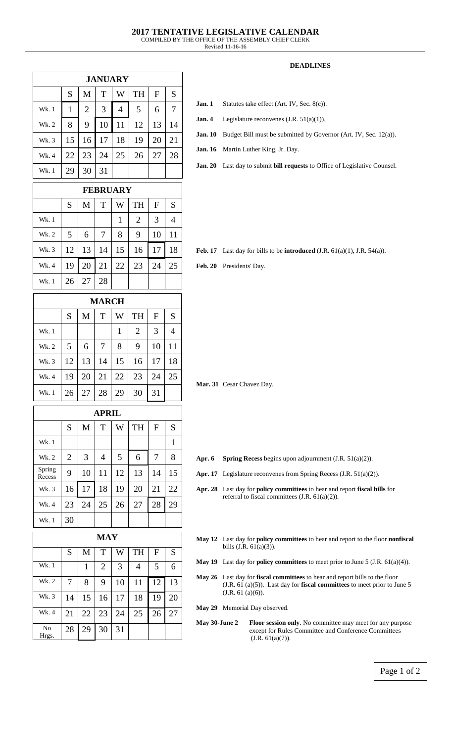Revised 11-16-16

## **DEADLINES**

| <b>JANUARY</b> |    |                |    |    |           |    |    |
|----------------|----|----------------|----|----|-----------|----|----|
|                | S  | M              | T  | W  | <b>TH</b> | F  | S  |
| Wk. 1          | 1  | $\overline{2}$ | 3  | 4  | 5         | 6  | 7  |
| Wk. 2          | 8  | 9              | 10 | 11 | 12        | 13 | 14 |
| Wk. 3          | 15 | 16             | 17 | 18 | 19        | 20 | 21 |
| Wk. 4          | 22 | 23             | 24 | 25 | 26        | 27 | 28 |
| Wk. 1          | 29 | 30             | 31 |    |           |    |    |

|       |    |    | <b>FEBRUARY</b> |    |                |              |    |
|-------|----|----|-----------------|----|----------------|--------------|----|
|       | S  | M  | T               | W  | <b>TH</b>      | $\mathbf{F}$ | S  |
| Wk. 1 |    |    |                 | 1  | $\overline{2}$ | 3            |    |
| Wk. 2 | 5  | 6  | 7               | 8  | 9              | 10           | 11 |
| Wk. 3 | 12 | 13 | 14              | 15 | 16             | 17           | 18 |
| Wk. 4 | 19 | 20 | 21              | 22 | 23             | 24           | 25 |
| Wk. 1 | 26 | 27 | 28              |    |                |              |    |

| <b>MARCH</b> |    |    |    |    |           |    |    |
|--------------|----|----|----|----|-----------|----|----|
|              | S  | M  | T  | W  | <b>TH</b> | F  | S  |
| Wk. 1        |    |    |    | 1  | 2         | 3  | 4  |
| Wk. 2        | 5  | 6  | 7  | 8  | 9         | 10 | 11 |
| Wk. 3        | 12 | 13 | 14 | 15 | 16        | 17 | 18 |
| Wk. 4        | 19 | 20 | 21 | 22 | 23        | 24 | 25 |
| Wk. 1        | 26 | 27 | 28 | 29 | 30        | 31 |    |

| <b>APRIL</b>     |                |    |    |    |           |    |    |
|------------------|----------------|----|----|----|-----------|----|----|
|                  | S              | M  | T  | W  | <b>TH</b> | F  | S  |
| Wk. 1            |                |    |    |    |           |    | 1  |
| Wk. 2            | $\overline{2}$ | 3  | 4  | 5  | 6         | 7  | 8  |
| Spring<br>Recess | 9              | 10 | 11 | 12 | 13        | 14 | 15 |
| Wk. 3            | 16             | 17 | 18 | 19 | 20        | 21 | 22 |
| Wk. 4            | 23             | 24 | 25 | 26 | 27        | 28 | 29 |
| Wk. 1            | 30             |    |    |    |           |    |    |

|                         |    |    | <b>MAY</b>     |    |           |              |    |
|-------------------------|----|----|----------------|----|-----------|--------------|----|
|                         | S  | M  | T              | W  | <b>TH</b> | $\mathbf{F}$ | S  |
| Wk. 1                   |    | 1  | $\overline{2}$ | 3  | 4         | 5            | 6  |
| Wk. 2                   | 7  | 8  | 9              | 10 | 11        | 12           | 13 |
| Wk. 3                   | 14 | 15 | 16             | 17 | 18        | 19           | 20 |
| Wk. 4                   | 21 | 22 | 23             | 24 | 25        | 26           | 27 |
| N <sub>o</sub><br>Hrgs. | 28 | 29 | 30             | 31 |           |              |    |

- **Jan. 1** Statutes take effect (Art. IV, Sec. 8(c)).
- **Jan. 4** Legislature reconvenes (J.R. 51(a)(1)).
- **Jan. 10** Budget Bill must be submitted by Governor (Art. IV, Sec. 12(a)).
- **Jan. 16** Martin Luther King, Jr. Day.

**Jan. 20** Last day to submit **bill requests** to Office of Legislative Counsel.

Feb. 17 Last day for bills to be **introduced** (J.R. 61(a)(1), J.R. 54(a)).

**Feb. 20** Presidents' Day.

**Mar. 31** Cesar Chavez Day.

- **Apr. 6 Spring Recess** begins upon adjournment (J.R. 51(a)(2)).
- Apr. 17 Legislature reconvenes from Spring Recess (J.R. 51(a)(2)).
- **Apr. 28** Last day for **policy committees** to hear and report **fiscal bills** for referral to fiscal committees (J.R. 61(a)(2)).
- **May 12** Last day for **policy committees** to hear and report to the floor **nonfiscal** bills  $(J.R. 61(a)(3))$ .
- **May 19** Last day for **policy committees** to meet prior to June 5 (J.R. 61(a)(4)).
- **May 26** Last day for **fiscal committees** to hear and report bills to the floor (J.R. 61 (a)(5)). Last day for **fiscal committees** to meet prior to June 5 (J.R. 61 (a)(6)).
- **May 29** Memorial Day observed.
- **May 30-June 2 Floor session only**. No committee may meet for any purpose except for Rules Committee and Conference Committees  $(J.R. 61(a)(7)).$